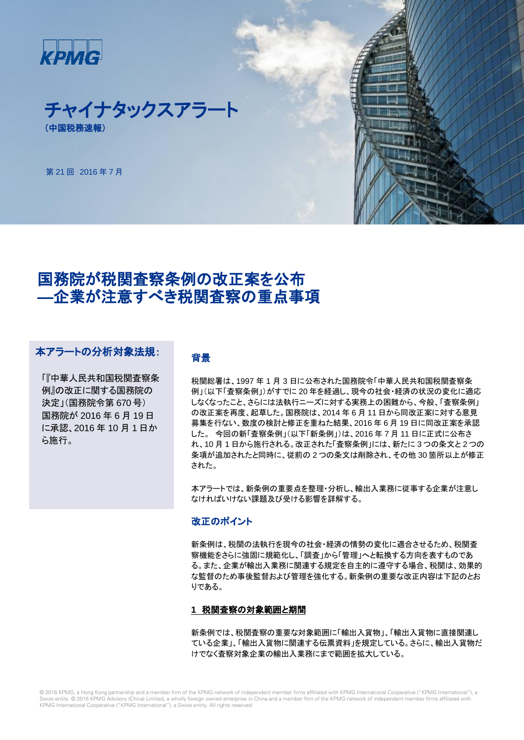



第 21 回 2016 年 7 月

# 国務院が税関査察条例の改正案を公布 ―企業が注意すべき税関査察の重点事項

## 本アラートの分析対象法規:

「『中華人民共和国税関査察条 例』の改正に関する国務院の 決定」(国務院令第 670 号) 国務院が 2016 年 6 月 19 日 に承認、2016 年 10 月 1 日か ら施行。

#### 背景

税関総署は、1997 年 1 月 3 日に公布された国務院令「中華人民共和国税関査察条 例」(以下「査察条例」)がすでに 20 年を経過し、現今の社会・経済の状況の変化に適応 しなくなったこと、さらには法執行ニーズに対する実務上の困難から、今般、「査察条例」 の改正案を再度、起草した。国務院は、2014 年 6 月 11 日から同改正案に対する意見 募集を行ない、数度の検討と修正を重ねた結果、2016 年 6 月 19 日に同改正案を承認 した。 今回の新「査察条例」(以下「新条例」)は、2016 年 7 月 11 日に正式に公布さ れ、10 月 1 日から施行される。改正された「査察条例」には、新たに 3 つの条文と 2 つの 条項が追加されたと同時に、従前の 2 つの条文は削除され、その他 30 箇所以上が修正 された。

本アラートでは、新条例の重要点を整理・分析し、輸出入業務に従事する企業が注意し S なければいけない課題及び受ける影響を詳解する。 P

#### 改正のポイント

新条例は、税関の法執行を現今の社会・経済の情勢の変化に適合させるため、税関査 察機能をさらに強固に規範化し、「調査」から「管理」へと転換する方向を表すものであ る。また、企業が輸出入業務に関連する規定を自主的に遵守する場合、税関は、効果的 な監督のため事後監督および管理を強化する。新条例の重要な改正内容は下記のとお 9 りである。

#### **1** 税関査察の対象範囲と期間 u m

新条例では、税関査察の重要な対象範囲に「輸出入貨物」、「輸出入貨物に直接関連し b ている企業」、「輸出入貨物に関連する伝票資料」を規定している。さらに、輸出入貨物だ けでなく査察対象企業の輸出入業務にまで範囲を拡大している。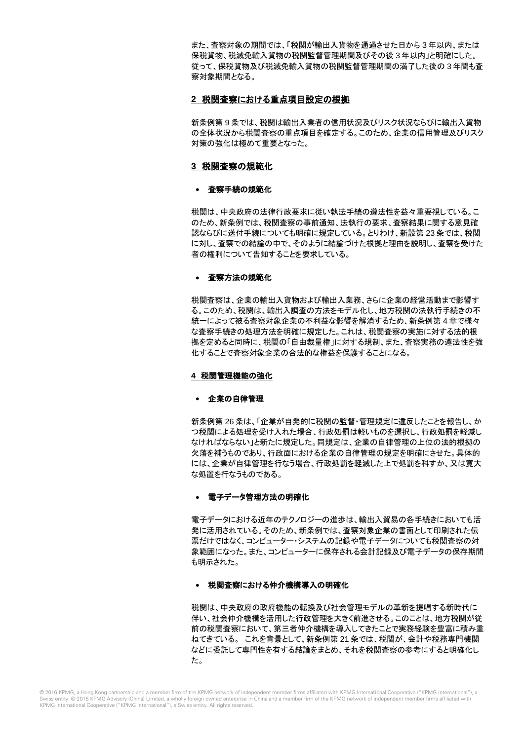また、査察対象の期間では、「税関が輸出入貨物を通過させた日から 3 年以内、または 保税貨物、税減免輸入貨物の税関監督管理期間及びその後 3 年以内」と明確にした。 従って、保税貨物及び税減免輸入貨物の税関監督管理期間の満了した後の 3 年間も査 察対象期間となる。

#### **2** 税関査察における重点項目設定の根拠

新条例第 9 条では、税関は輸出入業者の信用状況及びリスク状況ならびに輸出入貨物 の全体状況から税関査察の重点項目を確定する。このため、企業の信用管理及びリスク 対策の強化は極めて重要となった。

#### **3** 税関査察の規範化

#### 査察手続の規範化

税関は、中央政府の法律行政要求に従い執法手続の遵法性を益々重要視している。こ のため、新条例では、税関査察の事前通知、法執行の要求、査察結果に関する意見確 認ならびに送付手続についても明確に規定している。とりわけ、新設第 23 条では、税関 に対し、査察での結論の中で、そのように結論づけた根拠と理由を説明し、査察を受けた 者の権利について告知することを要求している。

#### 査察方法の規範化

税関査察は、企業の輸出入貨物および輸出入業務、さらに企業の経営活動まで影響す る。このため、税関は、輸出入調査の方法をモデル化し、地方税関の法執行手続きの不 統一によって被る査察対象企業の不利益な影響を解消するため、新条例第 4 章で様々 な査察手続きの処理方法を明確に規定した。これは、税関査察の実施に対する法的根 拠を定めると同時に、税関の「自由裁量権」に対する規制、また、査察実務の遵法性を強 化することで査察対象企業の合法的な権益を保護することになる。

#### **4** 税関管理機能の強化

#### 企業の自律管理

新条例第 26 条は、「企業が自発的に税関の監督・管理規定に違反したことを報告し、か つ税関による処理を受け入れた場合、行政処罰は軽いものを選択し、行政処罰を軽減し なければならない」と新たに規定した。同規定は、企業の自律管理の上位の法的根拠の 欠落を補うものであり、行政面における企業の自律管理の規定を明確にさせた。具体的 には、企業が自律管理を行なう場合、行政処罰を軽減した上で処罰を科すか、又は寛大 な処置を行なうものである。

#### 電子データ管理方法の明確化

電子データにおける近年のテクノロジーの進歩は、輸出入貿易の各手続きにおいても活 発に活用されている。そのため、新条例では、査察対象企業の書面として印刷された伝 票だけではなく、コンピューター・システムの記録や電子データについても税関査察の対 象範囲になった。また、コンピューターに保存される会計記録及び電子データの保存期間 も明示された。

#### 税関査察における仲介機構導入の明確化

税関は、中央政府の政府機能の転換及び社会管理モデルの革新を提唱する新時代に 伴い、社会仲介機構を活用した行政管理を大きく前進させる。このことは、地方税関が従 前の税関査察において、第三者仲介機構を導入してきたことで実務経験を豊富に積み重 ねてきている。 これを背景として、新条例第 21 条では、税関が、会計や税務専門機関 などに委託して専門性を有する結論をまとめ、それを税関査察の参考にすると明確化し た。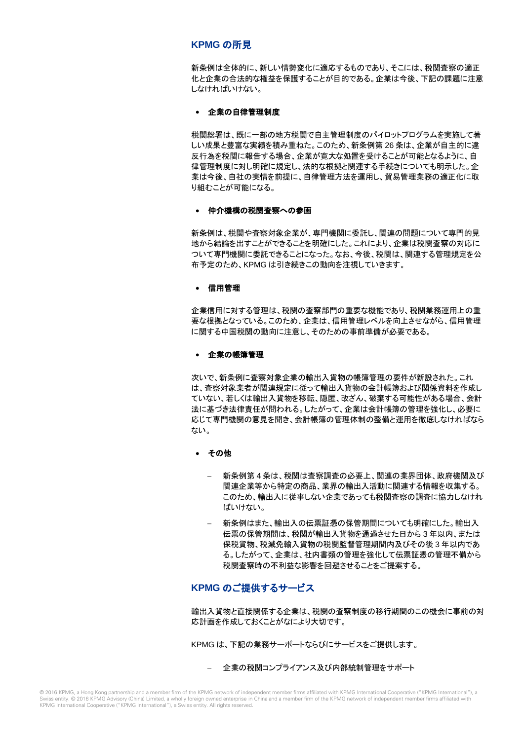## **KPMG** の所見

新条例は全体的に、新しい情勢変化に適応するものであり、そこには、税関査察の適正 化と企業の合法的な権益を保護することが目的である。企業は今後、下記の課題に注意 しなければいけない。

#### 企業の自律管理制度

税関総署は、既に一部の地方税関で自主管理制度のパイロットプログラムを実施して著 しい成果と豊富な実績を積み重ねた。このため、新条例第 26 条は、企業が自主的に違 反行為を税関に報告する場合、企業が寛大な処置を受けることが可能となるように、自 律管理制度に対し明確に規定し、法的な根拠と関連する手続きについても明示した。企 業は今後、自社の実情を前提に、自律管理方法を運用し、貿易管理業務の適正化に取 り組むことが可能になる。

#### 仲介機構の税関査察への参画

新条例は、税関や査察対象企業が、専門機関に委託し、関連の問題について専門的見 地から結論を出すことができることを明確にした。これにより、企業は税関査察の対応に ついて専門機関に委託できることになった。なお、今後、税関は、関連する管理規定を公 布予定のため、KPMG は引き続きこの動向を注視していきます。

#### 信用管理

企業信用に対する管理は、税関の査察部門の重要な機能であり、税関業務運用上の重 要な根拠となっている。このため、企業は、信用管理レベルを向上させながら、信用管理 に関する中国税関の動向に注意し、そのための事前準備が必要である。

#### 企業の帳簿管理

次いで、新条例に査察対象企業の輸出入貨物の帳簿管理の要件が新設された。これ は、査察対象業者が関連規定に従って輸出入貨物の会計帳簿および関係資料を作成し ていない、若しくは輸出入貨物を移転、隠匿、改ざん、破棄する可能性がある場合、会計 法に基づき法律責任が問われる。したがって、企業は会計帳簿の管理を強化し、必要に 応じて専門機関の意見を聞き、会計帳簿の管理体制の整備と運用を徹底しなければなら ない。

#### その他

- 新条例第 4 条は、税関は査察調査の必要上、関連の業界団体、政府機関及び 関連企業等から特定の商品、業界の輸出入活動に関連する情報を収集する。 このため、輸出入に従事しない企業であっても税関査察の調査に協力しなけれ ばいけない。
- 新条例はまた、輸出入の伝票証憑の保管期間についても明確にした。輸出入 伝票の保管期間は、税関が輸出入貨物を通過させた日から 3 年以内、または 保税貨物、税減免輸入貨物の税関監督管理期間内及びその後 3 年以内であ る。したがって、企業は、社内書類の管理を強化して伝票証憑の管理不備から 税関査察時の不利益な影響を回避させることをご提案する。

## **KPMG** のご提供するサービス

輸出入貨物と直接関係する企業は、税関の査察制度の移行期間のこの機会に事前の対 応計画を作成しておくことがなにより大切です。

KPMG は、下記の業務サーポートならびにサービスをご提供します。

企業の税関コンプライアンス及び内部統制管理をサポート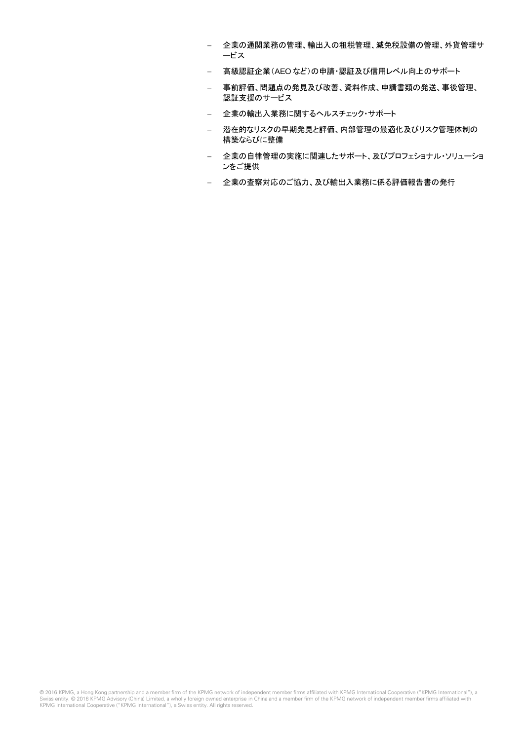- 企業の通関業務の管理、輸出入の租税管理、減免税設備の管理、外貨管理サ ービス
- 高級認証企業(AEO など)の申請・認証及び信用レベル向上のサポート
- 事前評価、問題点の発見及び改善、資料作成、申請書類の発送、事後管理、 認証支援のサービス
- 企業の輸出入業務に関するヘルスチェック・サポート
- 潜在的なリスクの早期発見と評価、内部管理の最適化及びリスク管理体制の 構築ならびに整備
- 企業の自律管理の実施に関連したサポート、及びプロフェショナル・ソリューショ ンをご提供
- 企業の査察対応のご協力、及び輸出入業務に係る評価報告書の発行